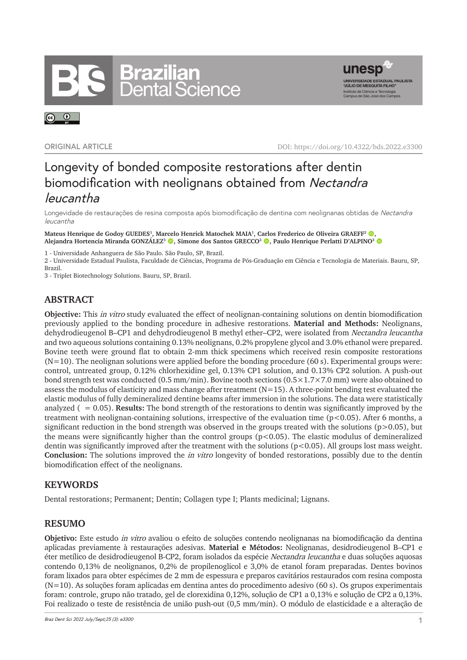# **Brazilian<br>Dental Science**



 $\odot$   $\odot$ 

**ORIGINAL ARTICLE** DOI: https://doi.org/10.4322/bds.2022.e3300

## Longevity of bonded composite restorations after dentin biomodification with neolignans obtained from Nectandra leucantha

Longevidade de restaurações de resina composta após biomodificação de dentina com neolignanas obtidas de Nectandra leucantha

**Mateus Henrique de Godoy GUEDES1, Marcelo Henrick Matochek MAIA1, Carlos Frederico de Oliveira GRAEFF2 ,**  Alejandra Hortencia Miranda GONZÁLEZ<sup>3</sup> **©**, Simone dos Santos GRECCO<sup>3</sup> ©, Paulo Henrique Perlatti D'ALPINO<sup>3</sup> ©

1 - Universidade Anhanguera de São Paulo. São Paulo, SP, Brazil.

2 - Universidade Estadual Paulista, Faculdade de Ciências, Programa de Pós-Graduação em Ciência e Tecnologia de Materiais. Bauru, SP, Brazil.

3 - Triplet Biotechnology Solutions. Bauru, SP, Brazil.

### **ABSTRACT**

**Objective:** This in vitro study evaluated the effect of neolignan-containing solutions on dentin biomodification previously applied to the bonding procedure in adhesive restorations. **Material and Methods:** Neolignans, dehydrodieugenol B–CP1 and dehydrodieugenol B methyl ether–CP2, were isolated from Nectandra leucantha and two aqueous solutions containing 0.13% neolignans, 0.2% propylene glycol and 3.0% ethanol were prepared. Bovine teeth were ground flat to obtain 2-mm thick specimens which received resin composite restorations  $(N=10)$ . The neolignan solutions were applied before the bonding procedure (60 s). Experimental groups were: control, untreated group, 0.12% chlorhexidine gel, 0.13% CP1 solution, and 0.13% CP2 solution. A push-out bond strength test was conducted (0.5 mm/min). Bovine tooth sections (0.5×1.7×7.0 mm) were also obtained to assess the modulus of elasticity and mass change after treatment  $(N=15)$ . A three-point bending test evaluated the elastic modulus of fully demineralized dentine beams after immersion in the solutions. The data were statistically analyzed ( $= 0.05$ ). **Results:** The bond strength of the restorations to dentin was significantly improved by the treatment with neolignan-containing solutions, irrespective of the evaluation time (p<0.05). After 6 months, a significant reduction in the bond strength was observed in the groups treated with the solutions ( $p>0.05$ ), but the means were significantly higher than the control groups (p<0.05). The elastic modulus of demineralized dentin was significantly improved after the treatment with the solutions  $(p<0.05)$ . All groups lost mass weight. **Conclusion:** The solutions improved the in vitro longevity of bonded restorations, possibly due to the dentin biomodification effect of the neolignans.

#### **KEYWORDS**

Dental restorations; Permanent; Dentin; Collagen type I; Plants medicinal; Lignans.

#### **RESUMO**

**Objetivo:** Este estudo in vitro avaliou o efeito de soluções contendo neolignanas na biomodificação da dentina aplicadas previamente à restaurações adesivas. **Material e Métodos:** Neolignanas, desidrodieugenol B–CP1 e éter metílico de desidrodieugenol B-CP2, foram isolados da espécie Nectandra leucantha e duas soluções aquosas contendo 0,13% de neolignanos, 0,2% de propilenoglicol e 3,0% de etanol foram preparadas. Dentes bovinos foram lixados para obter espécimes de 2 mm de espessura e preparos cavitários restaurados com resina composta (N=10). As soluções foram aplicadas em dentina antes do procedimento adesivo (60 s). Os grupos experimentais foram: controle, grupo não tratado, gel de clorexidina 0,12%, solução de CP1 a 0,13% e solução de CP2 a 0,13%. Foi realizado o teste de resistência de união push-out (0,5 mm/min). O módulo de elasticidade e a alteração de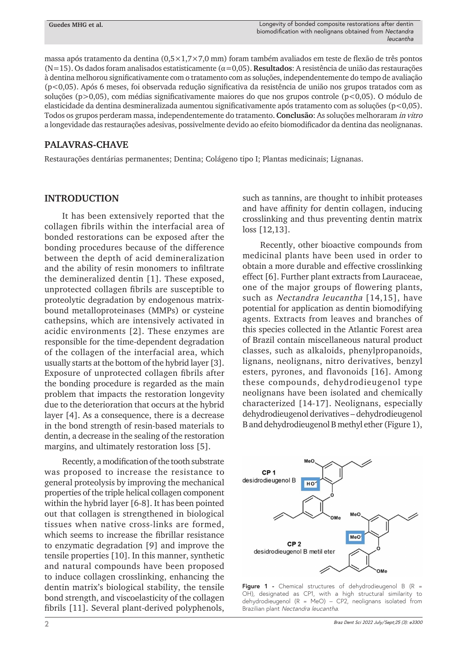massa após tratamento da dentina (0,5×1,7×7,0 mm) foram também avaliados em teste de flexão de três pontos (N=15). Os dados foram analisados estatisticamente ( α=0,05). **Resultados**: A resistência de união das restaurações à dentina melhorou significativamente com o tratamento com as soluções, independentemente do tempo de avaliação (p<0,05). Após 6 meses, foi observada redução significativa da resistência de união nos grupos tratados com as soluções (p>0,05), com médias significativamente maiores do que nos grupos controle (p<0,05). O módulo de elasticidade da dentina desmineralizada aumentou significativamente após tratamento com as soluções (p<0,05). Todos os grupos perderam massa, independentemente do tratamento. **Conclusão**: As soluções melhoraram in vitro a longevidade das restaurações adesivas, possivelmente devido ao efeito biomodificador da dentina das neolignanas.

#### **PALAVRAS-CHAVE**

Restaurações dentárias permanentes; Dentina; Colágeno tipo I; Plantas medicinais; Lignanas.

#### **INTRODUCTION**

It has been extensively reported that the collagen fibrils within the interfacial area of bonded restorations can be exposed after the bonding procedures because of the difference between the depth of acid demineralization and the ability of resin monomers to infiltrate the demineralized dentin [1]. These exposed, unprotected collagen fibrils are susceptible to proteolytic degradation by endogenous matrixbound metalloproteinases (MMPs) or cysteine cathepsins, which are intensively activated in acidic environments [2]. These enzymes are responsible for the time-dependent degradation of the collagen of the interfacial area, which usually starts at the bottom of the hybrid layer [3]. Exposure of unprotected collagen fibrils after the bonding procedure is regarded as the main problem that impacts the restoration longevity due to the deterioration that occurs at the hybrid layer [4]. As a consequence, there is a decrease in the bond strength of resin-based materials to dentin, a decrease in the sealing of the restoration margins, and ultimately restoration loss [5].

Recently, a modification of the tooth substrate was proposed to increase the resistance to general proteolysis by improving the mechanical properties of the triple helical collagen component within the hybrid layer [6-8]. It has been pointed out that collagen is strengthened in biological tissues when native cross-links are formed, which seems to increase the fibrillar resistance to enzymatic degradation [9] and improve the tensile properties [10]. In this manner, synthetic and natural compounds have been proposed to induce collagen crosslinking, enhancing the dentin matrix's biological stability, the tensile bond strength, and viscoelasticity of the collagen fibrils [11]. Several plant-derived polyphenols,

such as tannins, are thought to inhibit proteases and have affinity for dentin collagen, inducing crosslinking and thus preventing dentin matrix loss [12,13].

Recently, other bioactive compounds from medicinal plants have been used in order to obtain a more durable and effective crosslinking effect [6]. Further plant extracts from Lauraceae, one of the major groups of flowering plants, such as Nectandra leucantha [14,15], have potential for application as dentin biomodifying agents. Extracts from leaves and branches of this species collected in the Atlantic Forest area of Brazil contain miscellaneous natural product classes, such as alkaloids, phenylpropanoids, lignans, neolignans, nitro derivatives, benzyl esters, pyrones, and flavonoids [16]. Among these compounds, dehydrodieugenol type neolignans have been isolated and chemically characterized [14-17]. Neolignans, especially dehydrodieugenol derivatives – dehydrodieugenol B and dehydrodieugenol B methyl ether (Figure 1),



**Figure 1 -** Chemical structures of dehydrodieugenol B (R = OH), designated as CP1, with a high structural similarity to dehydrodieugenol (R = MeO) – CP2, neolignans isolated from Brazilian plant Nectandra leucantha.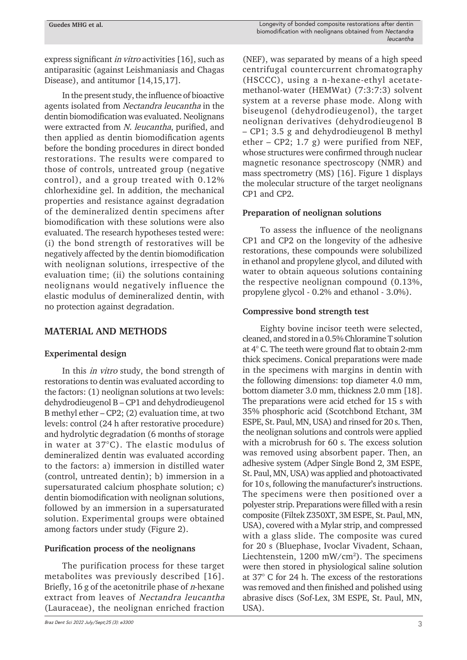express significant in vitro activities [16], such as antiparasitic (against Leishmaniasis and Chagas Disease), and antitumor [14,15,17].

In the present study, the influence of bioactive agents isolated from Nectandra leucantha in the dentin biomodification was evaluated. Neolignans were extracted from N. leucantha, purified, and then applied as dentin biomodification agents before the bonding procedures in direct bonded restorations. The results were compared to those of controls, untreated group (negative control), and a group treated with 0.12% chlorhexidine gel. In addition, the mechanical properties and resistance against degradation of the demineralized dentin specimens after biomodification with these solutions were also evaluated. The research hypotheses tested were: (i) the bond strength of restoratives will be negatively affected by the dentin biomodification with neolignan solutions, irrespective of the evaluation time; (ii) the solutions containing neolignans would negatively influence the elastic modulus of demineralized dentin, with no protection against degradation.

#### **MATERIAL AND METHODS**

#### **Experimental design**

In this in vitro study, the bond strength of restorations to dentin was evaluated according to the factors: (1) neolignan solutions at two levels: dehydrodieugenol B – CP1 and dehydrodieugenol B methyl ether – CP2; (2) evaluation time, at two levels: control (24 h after restorative procedure) and hydrolytic degradation (6 months of storage in water at 37°C). The elastic modulus of demineralized dentin was evaluated according to the factors: a) immersion in distilled water (control, untreated dentin); b) immersion in a supersaturated calcium phosphate solution; c) dentin biomodification with neolignan solutions, followed by an immersion in a supersaturated solution. Experimental groups were obtained among factors under study (Figure 2).

#### **Purification process of the neolignans**

The purification process for these target metabolites was previously described [16]. Briefly,  $16$  g of the acetonitrile phase of *n*-hexane extract from leaves of Nectandra leucantha (Lauraceae), the neolignan enriched fraction

(NEF), was separated by means of a high speed centrifugal countercurrent chromatography (HSCCC), using a n-hexane-ethyl acetatemethanol-water (HEMWat) (7:3:7:3) solvent system at a reverse phase mode. Along with biseugenol (dehydrodieugenol), the target neolignan derivatives (dehydrodieugenol B – CP1; 3.5 g and dehydrodieugenol B methyl ether – CP2; 1.7 g) were purified from NEF, whose structures were confirmed through nuclear magnetic resonance spectroscopy (NMR) and mass spectrometry (MS) [16]. Figure 1 displays the molecular structure of the target neolignans CP1 and CP2.

#### **Preparation of neolignan solutions**

To assess the influence of the neolignans CP1 and CP2 on the longevity of the adhesive restorations, these compounds were solubilized in ethanol and propylene glycol, and diluted with water to obtain aqueous solutions containing the respective neolignan compound (0.13%, propylene glycol - 0.2% and ethanol - 3.0%).

#### **Compressive bond strength test**

Eighty bovine incisor teeth were selected, cleaned, and stored in a 0.5% Chloramine T solution at 4° C. The teeth were ground flat to obtain 2-mm thick specimens. Conical preparations were made in the specimens with margins in dentin with the following dimensions: top diameter 4.0 mm, bottom diameter 3.0 mm, thickness 2.0 mm [18]. The preparations were acid etched for 15 s with 35% phosphoric acid (Scotchbond Etchant, 3M ESPE, St. Paul, MN, USA) and rinsed for 20 s. Then, the neolignan solutions and controls were applied with a microbrush for 60 s. The excess solution was removed using absorbent paper. Then, an adhesive system (Adper Single Bond 2, 3M ESPE, St. Paul, MN, USA) was applied and photoactivated for 10 s, following the manufacturer's instructions. The specimens were then positioned over a polyester strip. Preparations were filled with a resin composite (Filtek Z350XT, 3M ESPE, St. Paul, MN, USA), covered with a Mylar strip, and compressed with a glass slide. The composite was cured for 20 s (Bluephase, Ivoclar Vivadent, Schaan, Liechtenstein, 1200 mW/cm<sup>2</sup>). The specimens were then stored in physiological saline solution at 37° C for 24 h. The excess of the restorations was removed and then finished and polished using abrasive discs (Sof-Lex, 3M ESPE, St. Paul, MN, USA).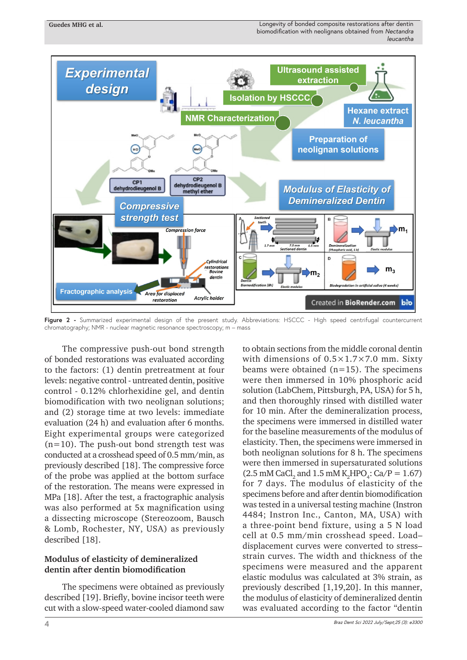

Figure 2 - Summarized experimental design of the present study. Abbreviations: HSCCC - High speed centrifugal countercurrent chromatography; NMR - nuclear magnetic resonance spectroscopy; m – mass

The compressive push-out bond strength of bonded restorations was evaluated according to the factors: (1) dentin pretreatment at four levels: negative control - untreated dentin, positive control - 0.12% chlorhexidine gel, and dentin biomodification with two neolignan solutions; and (2) storage time at two levels: immediate evaluation (24 h) and evaluation after 6 months. Eight experimental groups were categorized  $(n=10)$ . The push-out bond strength test was conducted at a crosshead speed of 0.5 mm/min, as previously described [18]. The compressive force of the probe was applied at the bottom surface of the restoration. The means were expressed in MPa [18]. After the test, a fractographic analysis was also performed at 5x magnification using a dissecting microscope (Stereozoom, Bausch & Lomb, Rochester, NY, USA) as previously described [18].

#### **Modulus of elasticity of demineralized dentin after dentin biomodification**

The specimens were obtained as previously described [19]. Briefly, bovine incisor teeth were cut with a slow-speed water-cooled diamond saw

to obtain sections from the middle coronal dentin with dimensions of 0.5×1.7×7.0 mm. Sixty beams were obtained  $(n=15)$ . The specimens were then immersed in 10% phosphoric acid solution (LabChem, Pittsburgh, PA, USA) for 5 h, and then thoroughly rinsed with distilled water for 10 min. After the demineralization process, the specimens were immersed in distilled water for the baseline measurements of the modulus of elasticity. Then, the specimens were immersed in both neolignan solutions for 8 h. The specimens were then immersed in supersaturated solutions  $(2.5 \text{ mM } \text{CaCl}_2 \text{ and } 1.5 \text{ mM } \text{K}_2 \text{HPO}_4$ : Ca/P = 1.67) for 7 days. The modulus of elasticity of the specimens before and after dentin biomodification was tested in a universal testing machine (Instron 4484; Instron Inc., Canton, MA, USA) with a three-point bend fixture, using a 5 N load cell at 0.5 mm/min crosshead speed. Load– displacement curves were converted to stress– strain curves. The width and thickness of the specimens were measured and the apparent elastic modulus was calculated at 3% strain, as previously described [1,19,20]. In this manner, the modulus of elasticity of demineralized dentin was evaluated according to the factor "dentin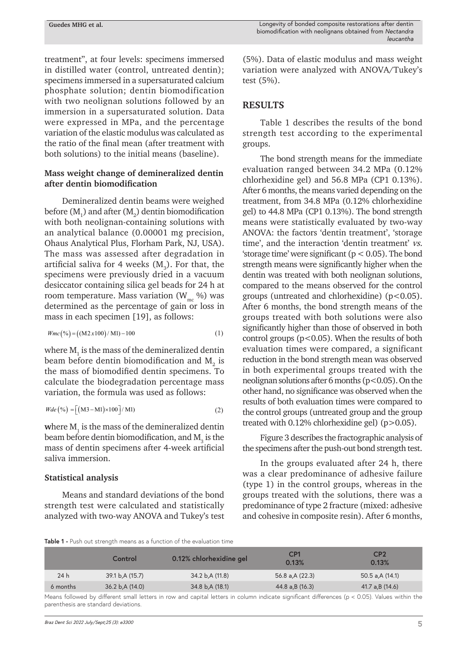treatment", at four levels: specimens immersed in distilled water (control, untreated dentin); specimens immersed in a supersaturated calcium phosphate solution; dentin biomodification with two neolignan solutions followed by an immersion in a supersaturated solution. Data were expressed in MPa, and the percentage variation of the elastic modulus was calculated as the ratio of the final mean (after treatment with both solutions) to the initial means (baseline).

#### **Mass weight change of demineralized dentin after dentin biomodification**

Demineralized dentin beams were weighed before  $(\text{M}^{\vphantom{\dagger}}_{1})$  and after  $(\text{M}^{\vphantom{\dagger}}_{2})$  dentin biomodification with both neolignan-containing solutions with an analytical balance (0.00001 mg precision, Ohaus Analytical Plus, Florham Park, NJ, USA). The mass was assessed after degradation in artificial saliva for 4 weeks  $(M_{3})$ . For that, the specimens were previously dried in a vacuum desiccator containing silica gel beads for 24 h at room temperature. Mass variation  $(W_{mc} \%)$  was determined as the percentage of gain or loss in mass in each specimen [19], as follows:

$$
Wmc(\%) = ((M2x100) / M1) - 100
$$
 (1)

where  $\mathsf{M}_\text{\tiny{1}}$  is the mass of the demineralized dentin beam before dentin biomodification and  $\text{M}_\text{2}$  is the mass of biomodified dentin specimens. To calculate the biodegradation percentage mass variation, the formula was used as follows:

$$
Wde\left(\%\right) = \left[ \left( M3 - M1 \right) \times 100 \right] / M1 \tag{2}
$$

where  $\mathbf{M}_1$  is the mass of the demineralized dentin beam before dentin biomodification, and  $\text{M}_\text{3}$  is the mass of dentin specimens after 4-week artificial saliva immersion.

#### **Statistical analysis**

Means and standard deviations of the bond strength test were calculated and statistically analyzed with two-way ANOVA and Tukey's test

(5%). Data of elastic modulus and mass weight variation were analyzed with ANOVA/Tukey's test (5%).

#### **RESULTS**

Table 1 describes the results of the bond strength test according to the experimental groups.

The bond strength means for the immediate evaluation ranged between 34.2 MPa (0.12% chlorhexidine gel) and 56.8 MPa (CP1 0.13%). After 6 months, the means varied depending on the treatment, from 34.8 MPa (0.12% chlorhexidine gel) to 44.8 MPa (CP1 0.13%). The bond strength means were statistically evaluated by two-way ANOVA: the factors 'dentin treatment', 'storage time', and the interaction 'dentin treatment' vs. 'storage time' were significant  $(p < 0.05)$ . The bond strength means were significantly higher when the dentin was treated with both neolignan solutions, compared to the means observed for the control groups (untreated and chlorhexidine) (p<0.05). After 6 months, the bond strength means of the groups treated with both solutions were also significantly higher than those of observed in both control groups  $(p<0.05)$ . When the results of both evaluation times were compared, a significant reduction in the bond strength mean was observed in both experimental groups treated with the neolignan solutions after 6 months (p<0.05). On the other hand, no significance was observed when the results of both evaluation times were compared to the control groups (untreated group and the group treated with 0.12% chlorhexidine gel) (p>0.05).

Figure 3 describes the fractographic analysis of the specimens after the push-out bond strength test.

In the groups evaluated after 24 h, there was a clear predominance of adhesive failure (type 1) in the control groups, whereas in the groups treated with the solutions, there was a predominance of type 2 fracture (mixed: adhesive and cohesive in composite resin). After 6 months,

**Table 1 -** Push out strength means as a function of the evaluation time

|          | Control          | 0.12% chlorhexidine gel | CP <sub>1</sub><br>0.13% | CP <sub>2</sub><br>0.13% |
|----------|------------------|-------------------------|--------------------------|--------------------------|
| 24 h     | 39.1 b, A (15.7) | 34.2 b, A (11.8)        | 56.8 a, A (22.3)         | 50.5 a,A (14.1)          |
| 6 months | 36.2 b, A (14.0) | 34.8 b, A (18.1)        | 44.8 a,B (16.3)          | 41.7 a,B (14.6)          |

Means followed by different small letters in row and capital letters in column indicate significant differences (p < 0.05). Values within the parenthesis are standard deviations.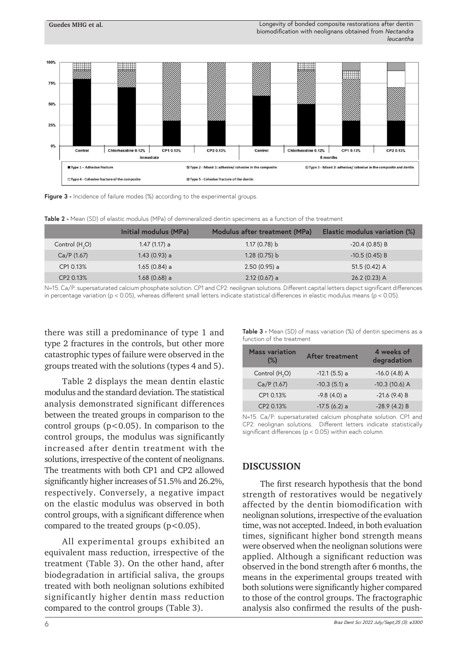

Figure 3 - Incidence of failure modes (%) according to the experimental groups.

**Guedes MHG et al.**

**Table 2 -** Mean (SD) of elastic modulus (MPa) of demineralized dentin specimens as a function of the treatment

|                 | Initial modulus (MPa) | Modulus after treatment (MPa) | Elastic modulus variation (%) |
|-----------------|-----------------------|-------------------------------|-------------------------------|
| Control $(H2O)$ | 1.47 (1.17) a         | 1.17(0.78) b                  | $-20.4(0.85) B$               |
| Ca/P(1.67)      | 1.43 (0.93) a         | 1.28(0.75) b                  | $-10.5(0.45) B$               |
| CP1 0.13%       | 1.65 (0.84) a         | $2.50(0.95)$ a                | $51.5(0.42)$ A                |
| CP2 0.13%       | $1.68(0.68)$ a        | $2.12(0.67)$ a                | 26.2 (0.23) A                 |
|                 |                       |                               |                               |

N=15. Ca/P: supersaturated calcium phosphate solution. CP1 and CP2: neolignan solutions. Different capital letters depict significant differences in percentage variation ( $p < 0.05$ ), whereas different small letters indicate statistical differences in elastic modulus means ( $p < 0.05$ ).

there was still a predominance of type 1 and type 2 fractures in the controls, but other more catastrophic types of failure were observed in the groups treated with the solutions (types 4 and 5).

Table 2 displays the mean dentin elastic modulus and the standard deviation. The statistical analysis demonstrated significant differences between the treated groups in comparison to the control groups  $(p<0.05)$ . In comparison to the control groups, the modulus was significantly increased after dentin treatment with the solutions, irrespective of the content of neolignans. The treatments with both CP1 and CP2 allowed significantly higher increases of 51.5% and 26.2%, respectively. Conversely, a negative impact on the elastic modulus was observed in both control groups, with a significant difference when compared to the treated groups  $(p<0.05)$ .

All experimental groups exhibited an equivalent mass reduction, irrespective of the treatment (Table 3). On the other hand, after biodegradation in artificial saliva, the groups treated with both neolignan solutions exhibited significantly higher dentin mass reduction compared to the control groups (Table 3).

| <b>Table 3 -</b> Mean (SD) of mass variation (%) of dentin specimens as a |  |
|---------------------------------------------------------------------------|--|
| function of the treatment                                                 |  |

| <b>Mass variation</b><br>$(\%)$ | After treatment | 4 weeks of<br>degradation |
|---------------------------------|-----------------|---------------------------|
| Control (H <sub>2</sub> O)      | $-12.1(5.5)$ a  | $-16.0$ (4.8) A           |
| Ca/P (1.67)                     | $-10.3(5.1)$ a  | $-10.3$ (10.6) A          |
| CP1 0.13%                       | $-9.8(4.0)$ a   | $-21.6(9.4)B$             |
| CP2 0.13%                       | $-17.5(6.2)$ a  | $-28.9(4.2)B$             |

N=15. Ca/P: supersaturated calcium phosphate solution. CP1 and CP2: neolignan solutions. Different letters indicate statistically significant differences (p < 0.05) within each column.

#### **DISCUSSION**

The first research hypothesis that the bond strength of restoratives would be negatively affected by the dentin biomodification with neolignan solutions, irrespective of the evaluation time, was not accepted. Indeed, in both evaluation times, significant higher bond strength means were observed when the neolignan solutions were applied. Although a significant reduction was observed in the bond strength after 6 months, the means in the experimental groups treated with both solutions were significantly higher compared to those of the control groups. The fractographic analysis also confirmed the results of the push-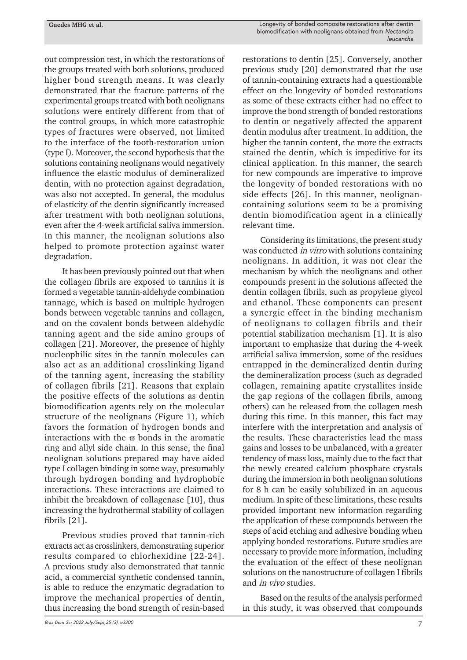out compression test, in which the restorations of the groups treated with both solutions, produced higher bond strength means. It was clearly demonstrated that the fracture patterns of the experimental groups treated with both neolignans solutions were entirely different from that of the control groups, in which more catastrophic types of fractures were observed, not limited to the interface of the tooth-restoration union (type I). Moreover, the second hypothesis that the solutions containing neolignans would negatively influence the elastic modulus of demineralized dentin, with no protection against degradation, was also not accepted. In general, the modulus of elasticity of the dentin significantly increased after treatment with both neolignan solutions, even after the 4-week artificial saliva immersion. In this manner, the neolignan solutions also helped to promote protection against water degradation.

It has been previously pointed out that when the collagen fibrils are exposed to tannins it is formed a vegetable tannin-aldehyde combination tannage, which is based on multiple hydrogen bonds between vegetable tannins and collagen, and on the covalent bonds between aldehydic tanning agent and the side amino groups of collagen [21]. Moreover, the presence of highly nucleophilic sites in the tannin molecules can also act as an additional crosslinking ligand of the tanning agent, increasing the stability of collagen fibrils [21]. Reasons that explain the positive effects of the solutions as dentin biomodification agents rely on the molecular structure of the neolignans (Figure 1), which favors the formation of hydrogen bonds and interactions with the  $\varpi$  bonds in the aromatic ring and allyl side chain. In this sense, the final neolignan solutions prepared may have aided type I collagen binding in some way, presumably through hydrogen bonding and hydrophobic interactions. These interactions are claimed to inhibit the breakdown of collagenase [10], thus increasing the hydrothermal stability of collagen fibrils [21].

Previous studies proved that tannin-rich extracts act as crosslinkers, demonstrating superior results compared to chlorhexidine [22-24]. A previous study also demonstrated that tannic acid, a commercial synthetic condensed tannin, is able to reduce the enzymatic degradation to improve the mechanical properties of dentin, thus increasing the bond strength of resin-based

restorations to dentin [25]. Conversely, another previous study [20] demonstrated that the use of tannin-containing extracts had a questionable effect on the longevity of bonded restorations as some of these extracts either had no effect to improve the bond strength of bonded restorations to dentin or negatively affected the apparent dentin modulus after treatment. In addition, the higher the tannin content, the more the extracts stained the dentin, which is impeditive for its clinical application. In this manner, the search for new compounds are imperative to improve the longevity of bonded restorations with no side effects [26]. In this manner, neolignancontaining solutions seem to be a promising dentin biomodification agent in a clinically relevant time.

Considering its limitations, the present study was conducted *in vitro* with solutions containing neolignans. In addition, it was not clear the mechanism by which the neolignans and other compounds present in the solutions affected the dentin collagen fibrils, such as propylene glycol and ethanol. These components can present a synergic effect in the binding mechanism of neolignans to collagen fibrils and their potential stabilization mechanism [1]. It is also important to emphasize that during the 4-week artificial saliva immersion, some of the residues entrapped in the demineralized dentin during the demineralization process (such as degraded collagen, remaining apatite crystallites inside the gap regions of the collagen fibrils, among others) can be released from the collagen mesh during this time. In this manner, this fact may interfere with the interpretation and analysis of the results. These characteristics lead the mass gains and losses to be unbalanced, with a greater tendency of mass loss, mainly due to the fact that the newly created calcium phosphate crystals during the immersion in both neolignan solutions for 8 h can be easily solubilized in an aqueous medium. In spite of these limitations, these results provided important new information regarding the application of these compounds between the steps of acid etching and adhesive bonding when applying bonded restorations. Future studies are necessary to provide more information, including the evaluation of the effect of these neolignan solutions on the nanostructure of collagen I fibrils and in vivo studies.

Based on the results of the analysis performed in this study, it was observed that compounds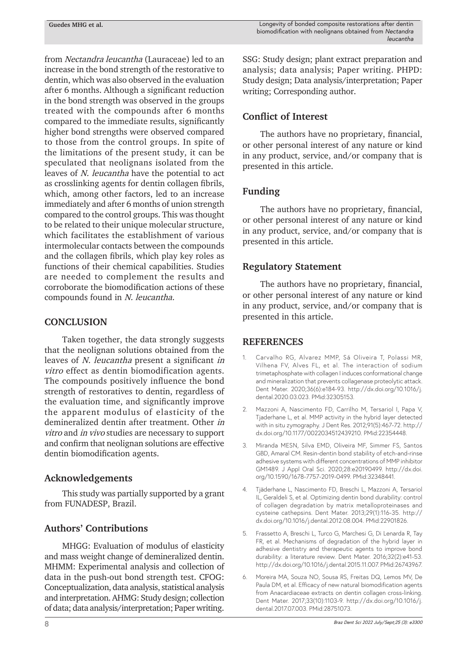from Nectandra leucantha (Lauraceae) led to an increase in the bond strength of the restorative to dentin, which was also observed in the evaluation after 6 months. Although a significant reduction in the bond strength was observed in the groups treated with the compounds after 6 months compared to the immediate results, significantly higher bond strengths were observed compared to those from the control groups. In spite of the limitations of the present study, it can be speculated that neolignans isolated from the leaves of N. leucantha have the potential to act as crosslinking agents for dentin collagen fibrils, which, among other factors, led to an increase immediately and after 6 months of union strength compared to the control groups. This was thought to be related to their unique molecular structure, which facilitates the establishment of various intermolecular contacts between the compounds and the collagen fibrils, which play key roles as functions of their chemical capabilities. Studies are needed to complement the results and corroborate the biomodification actions of these compounds found in N. leucantha.

#### **CONCLUSION**

Taken together, the data strongly suggests that the neolignan solutions obtained from the leaves of N. leucantha present a significant in vitro effect as dentin biomodification agents. The compounds positively influence the bond strength of restoratives to dentin, regardless of the evaluation time, and significantly improve the apparent modulus of elasticity of the demineralized dentin after treatment. Other in vitro and in vivo studies are necessary to support and confirm that neolignan solutions are effective dentin biomodification agents.

#### **Acknowledgements**

This study was partially supported by a grant from FUNADESP, Brazil.

#### **Authors' Contributions**

MHGG: Evaluation of modulus of elasticity and mass weight change of demineralized dentin. MHMM: Experimental analysis and collection of data in the push-out bond strength test. CFOG: Conceptualization, data analysis, statistical analysis and interpretation. AHMG: Study design; collection of data; data analysis/interpretation; Paper writing.

SSG: Study design; plant extract preparation and analysis; data analysis; Paper writing. PHPD: Study design; Data analysis/interpretation; Paper writing; Corresponding author.

#### **Conflict of Interest**

The authors have no proprietary, financial, or other personal interest of any nature or kind in any product, service, and/or company that is presented in this article.

#### **Funding**

The authors have no proprietary, financial, or other personal interest of any nature or kind in any product, service, and/or company that is presented in this article.

#### **Regulatory Statement**

The authors have no proprietary, financial, or other personal interest of any nature or kind in any product, service, and/or company that is presented in this article.

#### **REFERENCES**

- 1. Carvalho RG, Alvarez MMP, Sá Oliveira T, Polassi MR, Vilhena FV, Alves FL, et al. The interaction of sodium trimetaphosphate with collagen I induces conformational change and mineralization that prevents collagenase proteolytic attack. Dent Mater. 2020;36(6):e184-93. [http://dx.doi.org/10.1016/j.](https://doi.org/10.1016/j.dental.2020.03.023) [dental.2020.03.023](https://doi.org/10.1016/j.dental.2020.03.023)[. PMid:32305153.](https://www.ncbi.nlm.nih.gov/entrez/query.fcgi?cmd=Retrieve&db=PubMed&list_uids=32305153&dopt=Abstract)
- 2. Mazzoni A, Nascimento FD, Carrilho M, Tersariol I, Papa V, Tjaderhane L, et al. MMP activity in the hybrid layer detected with in situ zymography. J Dent Res. 2012;91(5):467-72. [http://](https://doi.org/10.1177/0022034512439210) [dx.doi.org/10.1177/0022034512439210](https://doi.org/10.1177/0022034512439210). [PMid:22354448.](https://www.ncbi.nlm.nih.gov/entrez/query.fcgi?cmd=Retrieve&db=PubMed&list_uids=22354448&dopt=Abstract)
- 3. Miranda MESN, Silva EMD, Oliveira MF, Simmer FS, Santos GBD, Amaral CM. Resin-dentin bond stability of etch-and-rinse adhesive systems with different concentrations of MMP inhibitor GM1489. J Appl Oral Sci. 2020;28:e20190499. [http://dx.doi.](https://doi.org/10.1590/1678-7757-2019-0499) [org/10.1590/1678-7757-2019-0499](https://doi.org/10.1590/1678-7757-2019-0499). [PMid:32348441.](https://www.ncbi.nlm.nih.gov/entrez/query.fcgi?cmd=Retrieve&db=PubMed&list_uids=32348441&dopt=Abstract)
- 4. Tjäderhane L, Nascimento FD, Breschi L, Mazzoni A, Tersariol IL, Geraldeli S, et al. Optimizing dentin bond durability: control of collagen degradation by matrix metalloproteinases and cysteine cathepsins. Dent Mater. 2013;29(1):116-35. [http://](https://doi.org/10.1016/j.dental.2012.08.004) [dx.doi.org/10.1016/j.dental.2012.08.004](https://doi.org/10.1016/j.dental.2012.08.004)[. PMid:22901826.](https://www.ncbi.nlm.nih.gov/entrez/query.fcgi?cmd=Retrieve&db=PubMed&list_uids=22901826&dopt=Abstract)
- 5. Frassetto A, Breschi L, Turco G, Marchesi G, Di Lenarda R, Tay FR, et al. Mechanisms of degradation of the hybrid layer in adhesive dentistry and therapeutic agents to improve bond durability: a literature review. Dent Mater. 2016;32(2):e41-53. [http://dx.doi.org/10.1016/j.dental.2015.11.007](https://doi.org/10.1016/j.dental.2015.11.007)[. PMid:26743967.](https://www.ncbi.nlm.nih.gov/entrez/query.fcgi?cmd=Retrieve&db=PubMed&list_uids=26743967&dopt=Abstract)
- 6. Moreira MA, Souza NO, Sousa RS, Freitas DQ, Lemos MV, De Paula DM, et al. Efficacy of new natural biomodification agents from Anacardiaceae extracts on dentin collagen cross-linking. Dent Mater. 2017;33(10):1103-9. [http://dx.doi.org/10.1016/j.](https://doi.org/10.1016/j.dental.2017.07.003) [dental.2017.07.003](https://doi.org/10.1016/j.dental.2017.07.003)[. PMid:28751073.](https://www.ncbi.nlm.nih.gov/entrez/query.fcgi?cmd=Retrieve&db=PubMed&list_uids=28751073&dopt=Abstract)